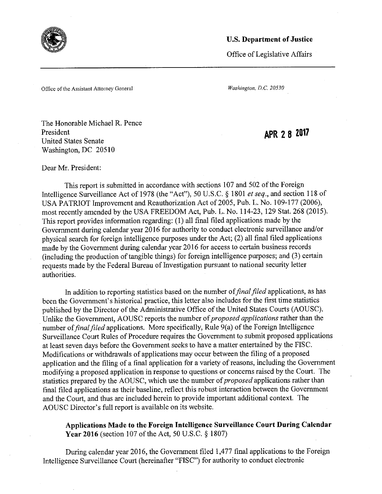

Office of Legislative Affairs

Office of the Assistant Attorney General *Washington, D.C. 20530* 

The Honorable Michael R. Pence President United States Senate Washington, DC 20510

APR 2 8 2017

Dear Mr. President:

This report is submitted in accordance with sections 107 and 502 of the Foreign Intelligence Surveillance Act of 1978 (the "Act"), 50 U.S.C. § 1801 et seq., and section 118 of USA PATRIOT Improvement and Reauthorization Act of 2005, Pub. L. No. 109-177 (2006), most recently amended by the USA FREEDOM Act, Pub. L. No. 114-23, 129 Stat. 268 (2015). This report provides information regarding: (1) all final filed applications made by the Government during calendar year 2016 for authority to conduct electronic surveillance and/or physical search for foreign intelligence purposes under the Act; (2) all final filed applications made by the Government during calendar year 2016 for access to certain business records (including the production of tangible things) for foreign intelligence purposes, and (3) certain requests made by the Federal Bureau of Investigation pursuant to national security letter authorities.

In addition to reporting statistics based on the number of *final filed* applications, as has been the Government's historical practice, this letter also includes for the first time statistics published by the Director of the Administrative Office of the United States Courts (AOUSC). Unlike the Government, AOUSC reports the number *of proposed applications* rather than the number of *final filed* applications. More specifically, Rule 9(a) of the Foreign Intelligence Surveillance Court Rules of Procedure requires the Government to submit proposed applications at least seven days before the Government seeks to have a matter entertained by the FISC. Modifications or withdrawals of applications may occur between the filing of a proposed application and the filing of a final application for a variety of reasons, including the Government modifying a proposed application in response to questions or concerns raised by the Court. The statistics prepared by the AOUSC, which use the number of *proposed* applications rather than final filed applications as their baseline, reflect this robust interaction between the Government and the Court, and thus are included herein to provide important additional context. The AOUSC Director's full report is available on its website.

**Applications Made to the Foreign Intelligence Surveillance Court During Calendar Year** 2016 (section 107 of the Act, 50 U.S.C. § 1807)

During calendar year 2016, the Government filed 1,477 final applications to the Foreign Intelligence Surveillance Court (hereinafter "FISC") for authority to conduct electronic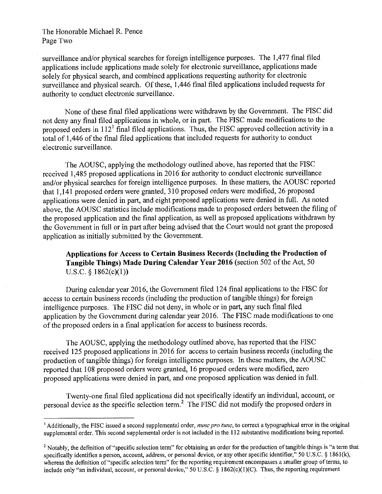## The Honorable Michael R. Pence Page Two

surveillance and/or physical searches for foreign intelligence purposes. The 1,477 final filed applications include applications made solely for electronic surveillance, applications made solely for physical search, and combined applications requesting authority for electronic surveillance and physical search. Of these, 1,446 final filed applications included requests for authority to conduct electronic surveillance.

None of these final filed applications were withdrawn by the Govermnent. The FISC did not deny any final filed applications in whole, or in part. The FISC made modifications to the proposed orders in  $112<sup>1</sup>$  final filed applications. Thus, the FISC approved collection activity in a total of 1,446 of the final filed applications that included requests for authority to conduct electronic surveillance.

The AOUSC, applying the methodology outlined above, has reported that the FISC received 1,485 proposed applications in 2016 for authority to conduct electronic surveillance and/or physical searches for foreign intelligence purposes. In these matters, the AOUSC reported that 1,141 proposed orders were granted, 310 proposed orders were modified, 26 proposed applications were denied in part, and eight proposed applications were denied in full. As noted above, the AOUSC statistics include modifications made to proposed orders between the filing of the proposed application and the final application, as well as proposed applications withdrawn by the Government in full or in part after being advised that the Court would not grant the proposed application as initially submitted by the Government.

**Applications for Access to Certain Business Records (Including the Production of Tangible Things) Made During Calendar Year 2016** (section 502 of the Act, 50 U.S.C. § 1862(c)(1))

During calendar year 2016, the Government filed 124 final applications to the FISC for access to certain business records (including the production of tangible things) for foreign intelligence purposes. The FISC did not deny, in whole or in part, any such final filed application by the Government during calendar year **2016.** The FISC made modifications to one of the proposed orders in a final application for access to business records.

The AOUSC, applying the methodology outlined above, has reported that the FISC received 125 proposed applications in 2016 for access to certain business records (including the production of tangible things) for foreign intelligence purposes. In these matters, the AOUSC reported that 108 proposed orders were granted, 16 proposed orders were modified, zero proposed applications were denied in part, and one proposed application was denied in full.

Twenty-one final filed applications did not specifically identify an individual, account, or personal device as the specific selection term.2 The FISC did not modify the proposed orders in

<sup>&</sup>lt;sup>1</sup> Additionally, the FISC issued a second supplemental order, *nunc pro tunc*, to correct a typographical error in the original supplemental order. This second supplemental order is not included in the 112 substantive modifications being reported.

<sup>&</sup>lt;sup>2</sup> Notably, the definition of "specific selection term" for obtaining an order for the production of tangible things is "a term that specifically identifies a person, account, address, or personal device, or any other specific identifier," 50 U.S.C. § 1861(k), whereas the definition of "specific selection term" for the reporting requirement encompasses a smaller group of terms, to include only "an individual, account, or personal device," 50 U.S.C. § 1862(c)(1)(C). Thus, the reporting requirement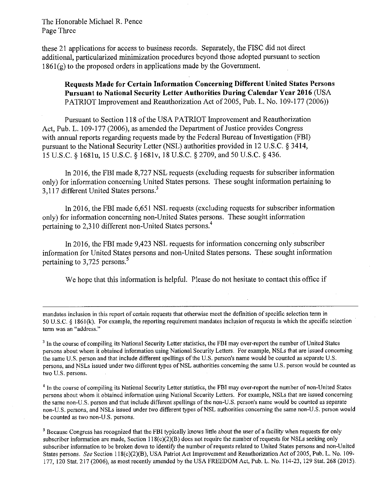The Honorable Michael R. Pence Page Three

these- 21 applications for access to business records. Separately, the FISC did not direct additional, particularized minimization procedures beyond those adopted pursuant to section 1861(g) to the proposed orders in applications made by the Government.

**Requests Made for Certain Information Concerning Different United States Persons Pursuant to National Security Letter Authorities During Calendar Year 2016 (USA)** PATRIOT Improvement and Reauthorization Act of 2005, Pub. L. No. 109-177 (2006))

Pursuant to Section 118 of the USA PATRIOT Improvement and Reauthorization Act, Pub. L. 109-177 (2006), as amended the Department of Justice provides Congress with annual reports regarding requests made by the Federal Bureau of Investigation (FBI) pursuant to the National Security Letter (NSL) authorities provided in 12 U.S.C. § 3414, 15 U.S.C. § 1681u, 15 U.S.C. § 168lv, 18 U.S.C. §2709, and 50 U.S.C. § 436.

In 2016, the FBI made 8,727 NSL requests (excluding requests for subscriber information only) for information concerning United States persons. These sought information pertaining to 3,117 different United States persons.3

In 2016, the FBI made 6,651 NSL requests (excluding requests for subscriber information only) for information concerning non-United States persons. These sought information pertaining to 2.310 different non-United States persons.<sup>4</sup>

In 2016, the FBI made 9,423 NSL requests for information concerning only subscriber information for United States persons and non-United States persons. These sought information pertaining to  $3,725$  persons.<sup>5</sup>

We hope that this information is helpful. Please do not hesitate to contact this office if

mandates inclusion in this report of certain requests **that** otherwise meet the definition of specific selection term in 50 U.S.C. § l86l(k). For example, the reporting **requirement** mandates inclusion of requests in which the specific selection term was an "address."

<sup>3</sup> In the course of compiling its National Security Letter statistics, the FBI may over-report the number of United States persons about whom it obtained information using National Security Letters. For example, NSLs that are issued concerning the same U.S. person and that include different spellings of the U.S. person's name would be counted as separate U.S. persons, and NSLs issued under two different types ofNSL authorities concerning the same U.S. person would be counted as two U.S. persons.

<sup>4</sup> In the course of compiling its National Security Letter statistics, the FBI may over-report the number of non-United States persons about whom it obtained information using National Security Letters. For example, NSLs that are issued concerning the same non-U.S. person and that include different spellings of the non-U.S, person's name would be counted as separate non-U.S. persons, and NSLs issued under two different types of NSL authorities concerning the same non-U.S. person would be counted as two non-U.S. persons.

5 Because Congress has recognized that the FB] typically knows little about the user of a facility when requests for only subscriber information are made, Section 118(c)(2)(B) does not require the number of requests for NSLs seeking only subscriber information to be broken down to identify the number of requests related to United States persons and non-United States persons. See Section 1 I 8(c)(2)(B), USA **Patriot Act** Improvement and Reauthorization Act of2005, Pub. L. No. 109- 177, 120 Stat. 217 (2006), as most recently amended by **the USA** FREEDOM Act, Pub. L. No. l 14-23, 129 Stat. 268 (2015).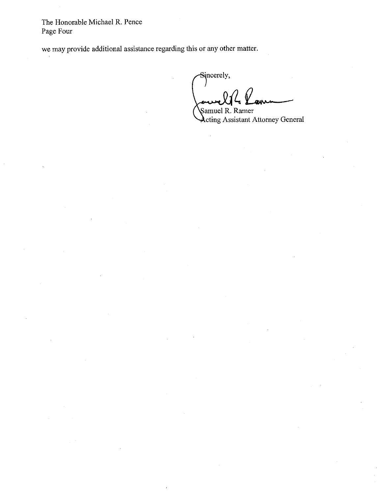The Honorable Michael R. Pence Page Four

we may provide additional assistance regarding this or any other matter.

Sincerely, *mr r* **\**  Samuel R. Ramer

 $\lambda$ cting Assistant Attorney General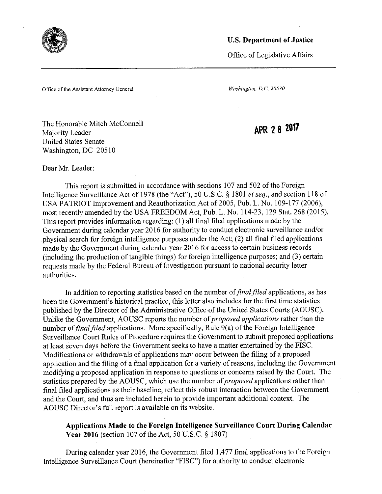

Office of Legislative Affairs

Office of the Assistant Attorney General *Washington, D.C. 20530* 

The Honorable Mitch McConnell Majority Leader United States Senate Washington, DC 20510

APR 2 8 2017

Dear Mr. Leader:

This report is submitted in accordance with sections 107 and 502 of the Foreign Intelligence Surveillance Act of 1978 (the "Act"), 50 U.S.C. § 1801 *et seq.*, and section 118 of USA PATRIOT Improvement and Reauthorization Act of 2005, Pub. L. No. 109-177 (2006), most recently amended by the USA FREEDOM Act, Pub. L. No. 114-23, 129 Stat. 268 (2015). This report provides information regarding: (1) all final filed applications made by the Government during calendar year 2016 for authority to conduct electronic surveillance and/or physical search for foreign intelligence purposes under the Act, (2) all final filed applications made by the Government during calendar year 2016 for access to certain business records (including the production of tangible things) for foreign intelligence purposes, and (3) certain requests made by the Federal Bureau of Investigation pursuant to national security letter authorities .

In addition to reporting statistics based on the number of *final filed* applications, as has been the Government's historical practice, this letter also includes for the first time statistics published by the Director of the Administrative Office of the United States Courts (AOUSC). Unlike the Government, AOUSC reports the number *of proposed applications* rather than the number of *final filed* applications. More specifically, Rule 9(a) of the Foreign Intelligence Surveillance Court Rules of Procedure requires the Government to submit proposed applications at least seven days before the Government seeks to have a matter entertained by the FISC. Modifications or withdrawals of applications may occur between the filing of a proposed application and the filing of a final application for a variety of reasons, including the Government modifying a proposed application in response to questions or concerns raised by the Court. The statistics prepared by the AOUSC, which use the number *of proposed* applications rather than final filed applications as their baseline, reflect this robust interaction between the Government and the Court, and thus are included herein to provide important additional context. The AOUSC Director's full report is available on its website.

**Applications Made to the Foreign Intelligence Surveillance Court During Calendar Year 2016** (section 107 of the Act, 50 **U.S.C.** § 1807)

During calendar year 2016, the Government filed 1,477 final applications to the Foreign Intelligence Surveillance Court (hereinafter "FISC") for authority to conduct electronic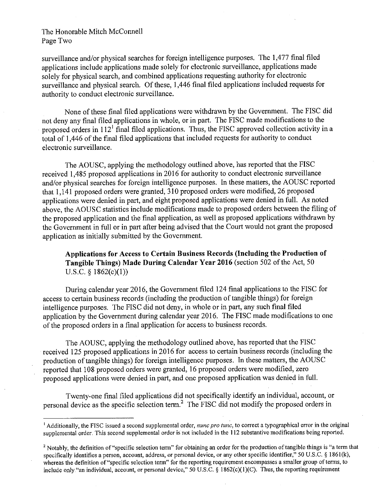## The Honorable Mitch McConnell Page Two

surveillance and/or physical searches for foreign intelligence purposes. The 1,477 final filed applications include applications made solely for electronic surveillance, applications made solely for physical search, and combined applications requesting authority for electronic surveillance and physical search. Of these, 1,446 final filed applications included requests for authority to conduct electronic surveillance.

None of these final filed applications were withdrawn by the Government. The FISC did not deny any final filed applications in whole, or in part. The FISC made modifications to the proposed orders in  $112<sup>1</sup>$  final filed applications. Thus, the FISC approved collection activity in a total of 1,446 of the final filed applications that included requests for authority to conduct electronic surveillance.

The AOUSC, applying the methodology outlined above, has reported that the FISC received 1,485 proposed applications in 2016 for authority to conduct electronic surveillance and/or physical searches for foreign intelligence purposes. In these matters, the AOUSC reported that 1,141 proposed orders were granted, 310 proposed orders were modified, 26 proposed applications were denied in part, and eight proposed applications were denied in full. As noted above, the AOUSC statistics include modifications made to proposed orders between the filing of the proposed application and the final application, as well as proposed applications withdrawn by the Government in full or in part after being advised that the Court would not grant the proposed application as initially submitted by the Government.

# **Applications for Access to Certain Business Records (Including the Production of Tangible Things) Made During Calendar Year 2016** (section 502 of the Act, 50 U.S.C. § l862(c)(1))

During calendar year 2016, the Government filed 124 final applications to the FISC for access to certain business records (including the production of tangible things) for foreign intelligence purposes. The FISC did not deny, in whole or in part, any such final filed application by the Government during calendar year 2016. The FISC made modifications to one of the proposed orders in a final application for access to business records.

The AOUSC, applying the methodology outlined above, has reported that the FISC received 125 proposed applications in 2016 for access to certain business records (including the production of tangible things) for foreign intelligence purposes. In these matters, the AOUSC reported that 108 proposed orders were granted, 16 proposed orders were modified, zero proposed applications were denied in part, and one proposed application was denied in full.

Twenty-one final filed applications did not specifically identify an individual, account, or personal device as the specific selection term.<sup>2</sup> The FISC did not modify the proposed orders in

<sup>&</sup>lt;sup>1</sup> Additionally, the FISC issued a second supplemental order, *nunc pro tunc*, to correct a typographical error in the original supplemental order. This second supplemental **order** is not included in the l 12 substantive modifications being reported.

<sup>2</sup>Notably, the definition of "specific selection term" for obtaining an **order** for the production of tangible things is "a term that specifically identifies a person, account, address, or personal device, or any other specific identifier," 50 U.S.C. § 1861(k), whereas the definition of "specific selection term" **for** the **reporting** requirement encompasses a smaller group of terms, to include only "an individual, account, or personal device," 50 U.S.C. § 1862(c)(1)(C). Thus, the reporting requirement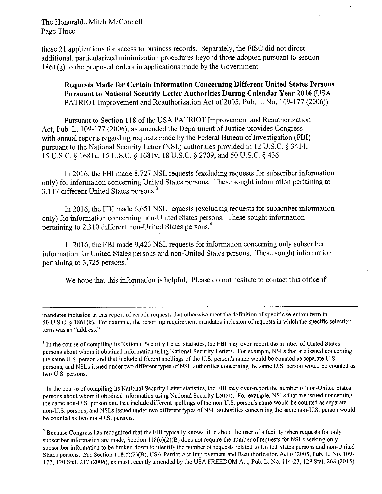The Honorable Mitch McConnell Page Three

these 21 applications for access to business records. Separately, the FISC did not direct additional, particularized minimization procedures beyond those adopted pursuant to section  $1861(g)$  to the proposed orders in applications made by the Government.

**Requests Made for Certain Information Concerning Different United States Persons Pursuant to National Security Letter Authorities During Calendar Year 2016** (USA PATRIOT Improvement and Reauthorization Act of 2005, Pub. L. No. 109-177 (2006))

Pursuant to Section 118 of the USA PATRIOT Improvement and Reauthorization Act, Pub. L. 109-177 (2006), as amended the Department of Justice provides Congress with annual reports regarding requests made by the Federal Bureau of Investigation (FBI) pursuant to the National Security Letter (NSL) authorities provided in 12 U.S.C. § 3414, 15 U.S.C. § 1681u, 15 U.S.C. § 1681v, 18 U.S.C. § 2709, and 50 U.S.C. § 436.

In 2016, the FBI made 8,727 NSL requests (excluding requests for subscriber information only) for information concerning United States persons. These sought information pertaining to 3.117 different United States persons.<sup>3</sup>

In 2016, the FBI made 6,651 NSL requests (excluding requests for subscriber information only) for information concerning non-United States persons. These sought information pertaining to 2,310 different non~United States persons.4

In 2016, the FBI made 9,423 NSL requests for information concerning only subscriber information for United States persons and non-United States persons. These sought information pertaining to 3,725 persons.<sup>5</sup>

We hope that this information is helpful. Please do not hesitate to contact this office if

mandates inclusion in this report of certain requests that otherwise meet the definition of specific selection term in 50 U.S.C. § l86l(k). For example, the reporting requirement mandates inclusion of requests in which the specific selection term was an "address."

<sup>3</sup> In the course of compiling its National Security Letter statistics, the FBI may over-report the number of United States persons about whom it obtained information using National Security Letters. For example, NSLs that are issued concerning the same U.S. person and that include different spellings **of the** U.S. person's name would be counted as separate U.S. persons, and NSLs issued under two different types of NSL authorities concerning the same U.S. person would be counted as two U.S. persons.

<sup>4</sup> In the course of compiling its National Security Letter statistics, the FBI may over-report the number of non-United States persons about whom it obtained information using National Security Letters. For example, NSLs that are issued concerning the same non-U.S. person and that include different spellings **of the** non-U.S. person's name would be counted as separate non-U.S. persons, and NSLs issued under two different types of NSL authorities concerning the same non-U.S. person would be counted as two non-U.S. persons.

<sup>5</sup>Because Congress has recognized that the FBI typically knows **little** about the user of a facility when requests for only subscriber information are made, Section  $118(c)(2)(B)$  does not require the number of requests for NSLs seeking only subscriber information to be broken down to identify the number of requests related to United States persons and non-United States persons. See Section 118(c)(2)(B), USA Patriot Act Improvement and Reauthorization Act of 2005, Pub. L. No. 109-177, 120 Stat. 217 (2006), as most recently amended by the USA FREEDOM Act, Pub. L. No. 114-23, 129 Stat. 268 (2015).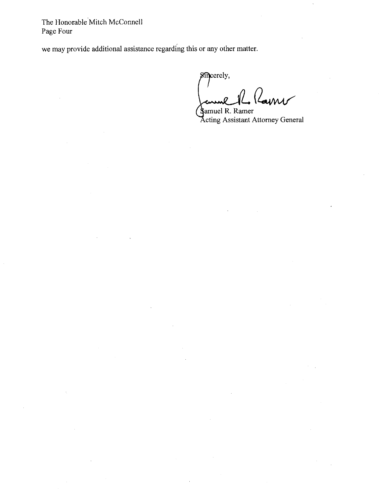The Honorable Mitch McConnell Page Four

we may provide additional assistance regarding this or any other matter.

**L.** 

Sincerely, cuml uni **-|** 

**S**amuel R. Ramer Acting Assistant Attorney General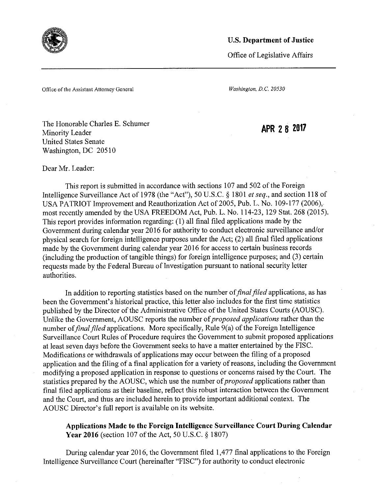

Office of Legislative Affairs

Office of the Assistant Attorney General *Washington,* D.C. 20530

The Honorable Charles E. Schumer Minority Leader United States Senate Washington, DC 20510

APR 28 <sup>2017</sup>

Dear Mr. Leader:

This report is submitted in accordance with sections 107 and 502 of the Foreign Intelligence Surveillance Act of 1978 (the "Act"), 50 U.S.C. § 1801 et seq., and section 118 of USA PATRIOT Improvement and Reauthorization Act of 2005, Pub. L. No. 109-177 (2006),most recently amended by the USA FREEDOM Act, Pub. L. No. 114-23, 129 Stat. 268 (2015). This report provides information regarding: (1) all final filed applications made by the Government during calendar year 2016 for authority to conduct electronic surveillance and/or physical search for foreign intelligence purposes under the Act, (2) all final filed applications made by the Government during calendar year 2016 for access to certain business records (including the production of tangible things) for foreign intelligence purposes, and (3) certain requests made by the Federal Bureau of Investigation pursuant to national security letter authorities.

In addition to reporting statistics based on the number of *final filed* applications, as has been the Government's historical practice, this letter also includes for the first time statistics published by the Director of the Administrative Office of the United States Courts (AOUSC). Unlike the Government, AOUSC reports the number *of proposed applications* rather than the number of *final filed* applications. More specifically, Rule 9(a) of the Foreign Intelligence Surveillance Court Rules of Procedure requires the Government to submit proposed applications at least seven days before the Government seeks to have a matter entertained by the FISC. Modifications or withdrawals of applications may occur between the filing of a proposed application and the filing of a final application for a variety of reasons, including the Govermnent modifying a proposed application in response to questions or concerns raised by the Court. The statistics prepared by the AOUSC, which use the number *of proposed* applications rather than final filed applications as their baseline, reflect this robust interaction between the Government and the Court, and thus are included herein to provide important additional context. The AOUSC Director's full report is available on its website.

**Applications Made to the Foreign Intelligence Surveillance Court During Calendar Year 2016** (section 107 of the Act, 50 U.S.C. § 1807)

During calendar year 2016, the Government filed 1,477 final applications to the Foreign Intelligence Surveillance Court (hereinafter "FISC") for authority to conduct electronic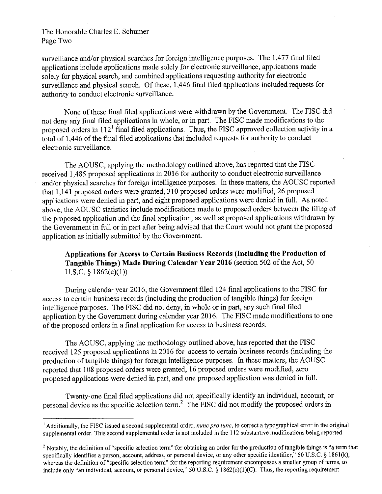## The Honorable Charles E. Schumer Page Two

surveillance and/or physical searches for foreign intelligence purposes. The 1,477 final filed applications include applications made solely for electronic surveillance, applications made solely for physical search, and combined applications requesting authority for electronic surveillance and physical search. Of these, 1,446 final filed applications included requests for authority to conduct electronic surveillance.

None of these final filed applications were withdrawn by the Government. The FISC did not deny any final filed applications in whole, or in part. The FISC made modifications to the proposed orders in  $112^1$  final filed applications. Thus, the FISC approved collection activity in a total of 1,446 of the final filed applications that included requests for authority to conduct electronic surveillance.

The AOUSC, applying the methodology outlined above, has reported that the FISC received 1,485 proposed applications in 2016 for authority to conduct electronic surveillance and/or physical searches for foreign intelligence purposes. In these matters, the AOUSC reported that  $1,141$  proposed orders were granted,  $310$  proposed orders were modified, 26 proposed applications were denied in part, and eight proposed applications were denied in full. As noted above, the AOUSC statistics include modifications made to proposed orders between the filing of the proposed application and the final application, as well as proposed applications withdrawn by the Government in full or in part after being advised that the Court would not grant the proposed application as initially submitted by the Government.

**Applications for Access to Certain Business Records (Including the Production of Tangible Things) Made During Calendar Year 2016** (section 502 of the Act, 50 U.S.C.  $§ 1862(c)(1))$ 

During calendar year 2016, the Government filed 124 final applications to the FISC for access to certain business records (including the production of tangible things) for foreign intelligence purposes. The FISC did not deny, in whole or in part, any such final filed application by the Government during calendar year 2016. The FISC made modifications to one of the proposed orders in a final application for **access** to business records.

The AOUSC, applying the methodology outlined above, has reported that the FISC received 125 proposed applications in 2016 for access to certain business records (including the production of tangible things) for foreign intelligence purposes. In these matters, the AOUSC reported that 108 proposed orders were granted, 16 proposed orders were modified, zero proposed applications were denied in part, and one proposed application was denied in full.

Twenty-one final filed applications did not specifically identify an individual, account, or personal device as the specific selection term.2 The FISC did not modify the proposed orders in

l Additionally, the FISC issued a second supplemental order, *nunc pro* tune, to correct a typographical error in the original supplemental order. This second supplemental order is not included in the 112 substantive modifications being reported.

 $2$  Notably, the definition of "specific selection term" for obtaining an order for the production of tangible things is "a term that specifically identifies a person, account, address, or personal device, **or** any other specific identifier," 50 U.S.C. § l86l(k), whereas the definition of "specific selection term" for the reporting requirement encompasses a smaller group of terms, to include only "an individual, account, or personal device," **50** U.S.C. § 1862(c)(l)(C). Thus, the reporting requirement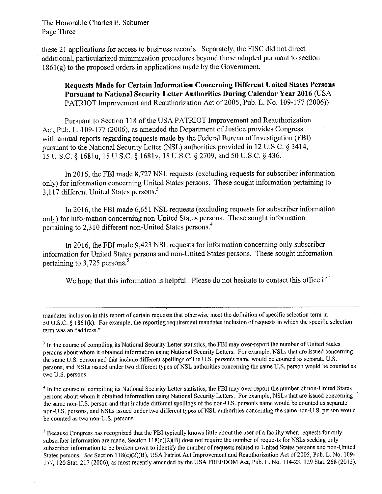The Honorable Charles E. Schumer Page Three

these 21 applications for *access to* business records. Separately, the FISC did not direct additional, particularized minimization procedures beyond those adopted pursuant to section  $1861(g)$  to the proposed orders in applications made by the Government.

**Requests Made for Certain Information Concerning Different United States Persons Pursuant to National Security Letter Authorities During Calendar Year 2016** (USA PATRIOT Improvement and Reauthorization Act of 2005, Pub. L. No. 109-177 (2006))

Pursuant to Section 118 of the USA PATRIOT Improvement and Reauthorization Act, Pub. L. 109-177 (2006), as amended the Department of Justice provides Congress with annual reports regarding requests made by the Federal Bureau of Investigation (FBI) pursuant to the National Security Letter (NSL) authorities provided in 12 U.S.C. § 3414, 15 U.S.C. § 1681u, 15 U.S.C. § 1681v, 18 U.S.C. § 2709, and 50 U.S.C. § 436.

In 2016, the FBI made 8,727 NSL requests (excluding requests for subscriber information only) for information concerning United States persons. These sought information pertaining to 3.117 different United States persons.<sup>3</sup>

In 2016, the FBI made 6,651 NSL requests (excluding requests for subscriber information only) for information concerning non-United States persons. These sought information pertaining to 2,310 different non-United States persons.4

In 2016, the FBI made 9,423 NSL requests for information concerning only subscriber information for United States persons and non-United States persons. These sought information pertaining to  $3,725$  persons.<sup>5</sup>

We hope that this information is helpful. Please do not hesitate to contact this office if

mandates inclusion in this report of certain requests that otherwise meet the definition of specific selection term in 5.0 U.S.C. § l86l(k). For example, the reporting requirement mandates inclusion of requests in which the specific selection term was an "address."

<sup>3</sup> In the course of compiling its National Security Letter statistics, the FBI may over-report the number of United States persons about whom it obtained information using National Security Letters. For example, NSLs that are issued concerning the same U.S. person and that include different spellings **of the** U.S. person's name would be counted as separate U.S. persons, and NSLs issued under two different types ofNSL authorities concerning the same **U.S.** person would be counted as two U.S. persons.

<sup>4</sup> In the course of compiling its National Security Letter statistics, the FBI may over-report the number of non-United States persons about whom it obtained information using National Security Letters. For example, NSLs that are issued concerning the same non-U.S. person and that include different spellings of the non-U.S. person's name would be counted as separate non-U.S. persons, and NSLs issued under two different types of NSL authorities concerning the same non-U.S. person would be counted as two non-U.S. persons.

<sup>5</sup>Because Congress has recognized that the **FBI** typically knows little about the user of a facility when requests for only subscriber information are made, Section  $118(c)(2)(B)$  does not require the number of requests for NSLs seeking only subscriber information to be broken down to identify the number of requests related to United States persons and non»-United States persons. See Section 118(c)(2)(B), USA Patriot Act Improvement and Reauthorization Act of 2005, Pub. L. No. 109-177, 120 Stat. 217 (2006), as most recently amended by **the USA** FREEDOM Act, Pub. L. No. ll4»23, 129 Stat. 268 (2015).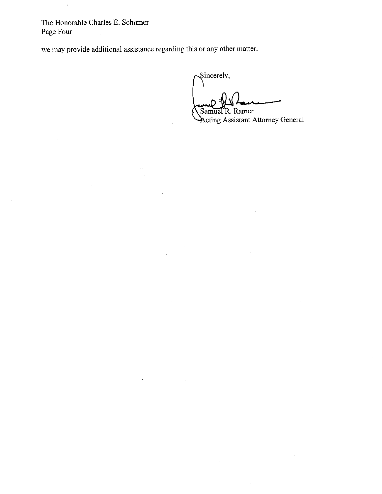The Honorable Charles E. Schumer Page Four

we may provide additional assistance regarding this or any other matter.

Sincerely, **\*\_** I \ Samuel R. Ramer

Acting Assistant Attorney General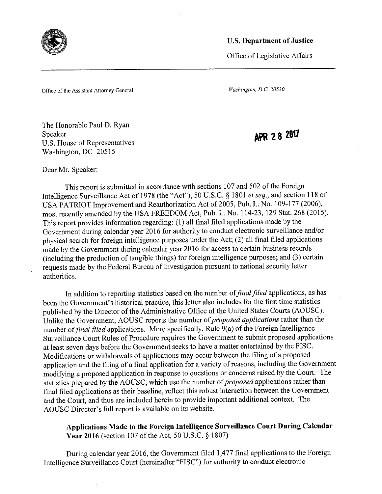

Office of Legislative Affairs

Office of the Assistant Attorney General *Washington,* D.C. 20530

The Honorable Paul D. Ryan Speaker U.S. House of Representatives Washington, DC 20515

APR 28 2017

Dear Mr. Speaker:

This report is submitted in accordance with sections 107 and 502 of the Foreign Intelligence Surveillance Act of 1978 (the "Act"), 50 U.S.C. § 1801 *et seq.,* and section 118 of USA PATRIOT Improvement and Reauthorization Act of 2005, Pub. L. No. 109-177 (2006), most recently amended by the USA FREEDOM Act, Pub. L. No. 114-23, 129 Stat. 268 (2015). This report provides information regarding: (1) all final filed applications madeby the Government during calendar year 2016 for authority to conduct electronic surveillance and/or physical search for foreign intelligence purposes under the Act; (2) all final filed applications made by the Government during calendar year 2016 for access to certain business records (including the production of tangible things) for foreign intelligence purposes, and (3) certain requests made by the Federal Bureau of Investigation pursuant to national security letter authorities .

In addition to reporting statistics based on the number of *final filed* applications, as has been the Government's historical practice, this letter also includes for the first time statistics published by the Director of the Administrative Office of the United States Courts (AOUSC). Unlike the Government, AOUSC reports the number *of proposed applications* rather than the number of *final filed* applications. More specifically, Rule 9(a) of the Foreign Intelligence Surveillance Court Rules of Procedure requires the Government to submit proposed applications at least seven days before the Government seeks to have a matter entertained by the FISC . Modifications or withdrawals of applications may occur between the filing of a proposed application and the filing of a final application for a variety of reasons, including the Government modifying a proposed application in response to questions or concerns raised by the Court. The statistics prepared by the AOUSC, which use the number of *proposed* applications rather than final filed applications as their baseline, reflect this robust interaction between the Government and the Court, and thus are included herein to provide important additional context. The AOUSC Director's full report is available on its website.

**Applications Made to the Foreign Intelligence Surveillance Court During Calendar Year 2016** (section 107 of the Act, 50 U.S.C. § 1807)

During calendar year 2016, the Government filed 1,477 final applications to the Foreign Intelligence Surveillance Court (hereinafter "FISC") for authority to conduct electronic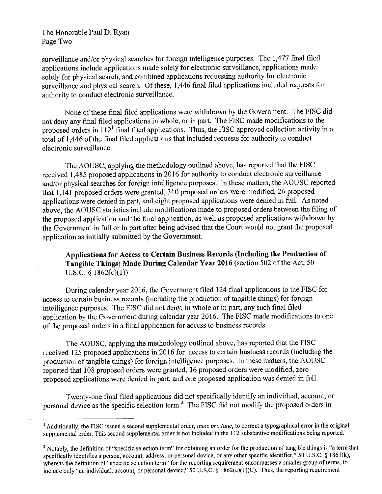## The Honorable Paul D. Ryan Page Two

surveillance and/or physical searches for foreign intelligence purposes. The 1,477 final filed applications include applications made solely for electronic surveillance, applications made solely for physical search, and combined applications requesting authority for electronic surveillance and physical search. Of these, 1,446 final filed applications included requests for authority to conduct electronic surveillance.

None of these final filed applications were withdrawn by the Government. The FISC did not deny any final filed applications in whole, or in part. The FISC made modifications to the proposed orders in  $112<sup>1</sup>$  final filed applications. Thus, the FISC approved collection activity in a total of 1,446 of the final filed applications that included requests for authority to conduct electronic surveillance.

The AOUSC, applying the methodology outlined above, has reported that the FISC received 1,485 proposed applications in 2016 for authority to conduct electronic surveillance and/or physical searches for foreign intelligence purposes. In these matters, the AOUSC reported that l, 141 proposed orders were granted, 310 proposed orders were modified, 26 proposed applications were denied in part, and eight proposed applications were denied in full. As noted above, the AOUSC statistics include modifications made to proposed orders between the filing of the proposed application and the final application, as well as proposed applications withdrawn by the Government in full or in part after being advised that the Court would not grant the proposed application as initially submitted by the Govermnent.

**Applications for Access to Certain Business Records (Including the Production of Tangible Things) Made During Calendar Year 2016** (section 502 of the Act, 50 U.S.C. § 1862(c)(1))

During calendar year 2016, the Govermnent filed 124 final applications to the FISC for access to certain business records (including the production of tangible things) for foreign intelligence purposes. The FISC did not deny, in whole or in part, any such final filed application by the Government during calendar year 2016. The FISC made modifications to one of the proposed orders in a final application for access to business records.

The AOUSC, applying the methodology outlined above, has reported that the FISC received 125 proposed applications in 2016 for access to certain business records (including the production of tangible things) for foreign intelligence purposes. In these matters, the AOUSC reported that 108 proposed orders were granted, 16 proposed orders were modified, zero proposed applications were denied in part, and one proposed application was denied in full.

Twenty-one final filed applications did not specifically identify an individual, account, or personal device as the specific selection term.2 The FISC did not modify the proposed orders in

<sup>&</sup>lt;sup>1</sup> Additionally, the FISC issued a second supplemental order, *nunc pro tunc*, to correct a typographical error in the original supplemental order. This second supplemental order is not included in the 112 substantive modifications being reported.

<sup>&</sup>lt;sup>2</sup> Notably, the definition of "specific selection term" for obtaining an order for the production of tangible things is "a term that specifically identifies a person, account, address, or personal device, or any other specific identifier," 50 U.S.C. § l861(k), whereas the definition of "specific selection term" for the reporting requirement encompasses a smaller group of terms, to include only "an individual, account, or personal device," 50 U.S.C. § 1862(c)(1)(C). Thus, the reporting requirement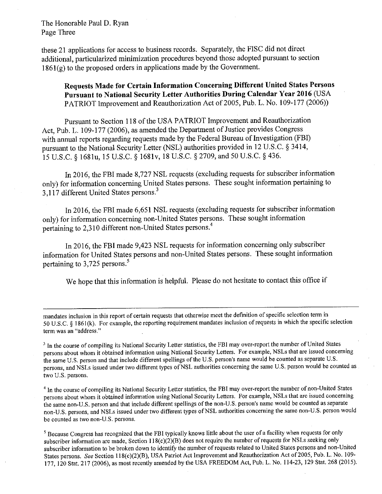The Honorable Paul D. Ryan Page Three

these 21 applications for access to business records. Separately, the FISC did not direct additional, particularized minimization procedures beyond those adopted pursuant to section  $1861(g)$  to the proposed orders in applications made by the Government.

**Requests Made for Certain Information Concerning Different United States Persons Pursuant to National Security Letter Authorities During Calendar Year 2016** (USA PATRIOT Improvement and Reauthorization Act of 2005, Pub. L. No. 109-177 (2006))

Pursuant to Section 118 of the USA PATRIOT Improvement and Reauthorization Act, Pub. L. 109-177 (2006), as amended the Department of Justice provides Congress with annual reports regarding requests made by the Federal Bureau of Investigation (FBI) pursuant to the National Security Letter (NSL) authorities provided in 12 U.S.C. § 3414, 15 U.S.C. § 1681u, 15 U.S.C. § 168lv, 18 U.S.C. §2709, and 50 U.S.C. § 436.

In 2016, the FBI made 8,727 NSL requests (excluding requests for subscriber information only) for information concerning United States persons. These sought information pertaining to 3,117 different United States persons.3

. In 2016, the FBI made 6,651 NSL requests (excluding requests for subscriber information only) for information concerning non-United States persons. These sought information pertaining to 2,310 different non~United States persons.4

In 2016, the FBI made 9,423 NSL requests for information concerning only subscriber information for United States persons and non-United States persons. These sought information pertaining to 3,725 persons.<sup>5</sup>

We hope that this information is helpful. Please do not hesitate to contact this office if

mandates inclusion in this report of certain requests that otherwise meet the definition of specific selection term in 50 U.S.C. § 186 I (k). For example, the reporting requirement mandates inclusion of requests in which the specific selection term was an "address."

<sup>3</sup> In the course of compiling its National Security Letter statistics, the FBI may over-report the number of United States persons about whom it obtained information using National Security Letters. For example, NSLs that are issued concerning the same U.S. person and that include different spellings of the U.S. person's name would be counted as separate U.S. persons, and NSLs issued under two different types of NSL authorities concerning the same U.S. person would be counted as two U.S. persons.

<sup>4</sup> In the course of compiling its National Security Letter statistics, the FBI may over-report the number of non-United States persons about whom it obtained information using National Security Letters. For example, NSLs that are issued concerning the same non-U.S. person and that include different spellings of the non-U.S, person's name would be counted as separate non-U.S. persons, and NSLs issued under two different types of NSL authorities concerning the same non-U.S. person would be counted as two non-U.S. persons.

<sup>5</sup>Because Congress has recognized that the **FBI** typically knows little about the user of a facility when requests for only subscriber information are made, Section  $118(c)(2)(B)$  does not require the number of requests for NSLs seeking only subscriber information to be broken down to identify the number of requests related to United States persons and non-United States persons. See Section ll8(c)(2)(B), USA Patriot Act Improvement and Reauthorization Act of2005, Pub. L. No. 109- 177, 120 Stat. 217 (2006), as most recently amended by the USA FREEDOM Act, Pub. L. No. 114~23, 129 Stat. 268 (2015).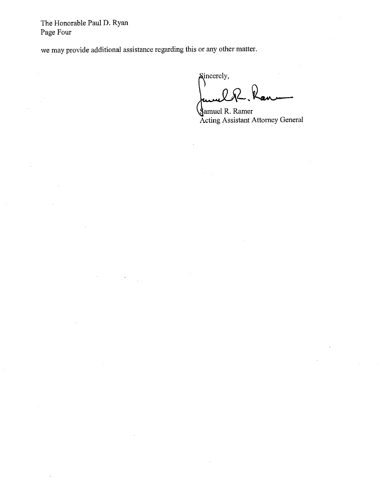The Honorable Paul D. Ryan Page Four

we may provide additional assistance regarding this or any other matter.

Sincerely, **-0 »** 

Samuel R. Ramer Acting Assistant Attorney General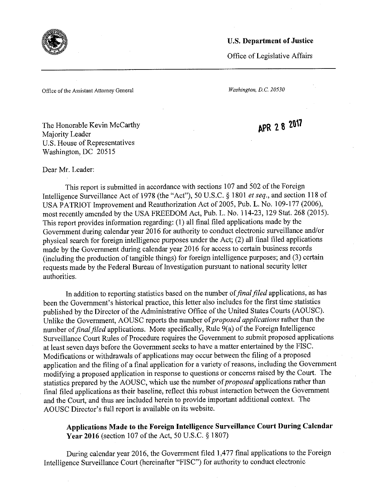

Office of Legislative Affairs

Office of the Assistant Attorney General *Washington,* D.C. 20530

The Honorable Kevin McCarthy Majority Leader U.S. House of Representatives Washington, DC 20515

APR 2 8 2017

Dear Mr. Leader:

This report is submitted in accordance with sections 107 and 502 of the Foreign Intelligence Surveillance Act of 1978 (the "Act°'), 50 U.S.C. § 1801 et seq., and section 118 of USA PATRIOT Improvement and Reauthorization Act of 2005, Pub. L. No. 109-177 (2006), most recently amended by the USA FREEDOM Act, Pub. L. No. 114-23, 129 Stat. 268 (2015). This report provides information regarding: (1) all final filed applications made by the Government during calendar year 2016 for authority to conduct electronic surveillance and/or physical search for foreign intelligence purposes under the Act; (2) all final filed applications made by the Government during calendar year 2016 for access to certain business records (including the production of tangible things) for foreign intelligence purposes, and (3) certain requests made by the Federal Bureau of Investigation pursuant to national security letter authorities.

In addition to reporting statistics based on the number of final filed applications, as has been the Government's historical practice, this letter also includes for the first time statistics published by the Director of the Administrative Office of the United States Courts (AOUSC). Unlike the Government, AOUSC reports the number of *proposed applications* rather than the number of *final filed* applications. More specifically, Rule 9(a) of the Foreign Intelligence Surveillance Court Rules of Procedure requires the Government to submit proposed applications at least seven days before the Government seeks to have a matter entertained by the FISC . Modifications or withdrawals of applications may occur between the filing of a proposed application and the tiling of a final application for a variety of reasons, including the Government modifying a proposed application in response to questions or concerns raised by the Court. The statistics prepared by the AOUSC, which use the number of *proposed* applications rather than final filed applications as their baseline, reflect this robust interaction between the Government and the Court, and thus are included herein to provide important additional context. The AOUSC Director's full report is available on its website.

**Applications Made to the Foreign 'Intelligence Surveillance Court During Calendar Year 2016** (section 107 of the Act, 50 U.S.C. § 1807)

During calendar year 2016, the Government filed 1,477 final applications to the Foreign Intelligence Surveillance Court (hereinafter "FISC") for authority to conduct electronic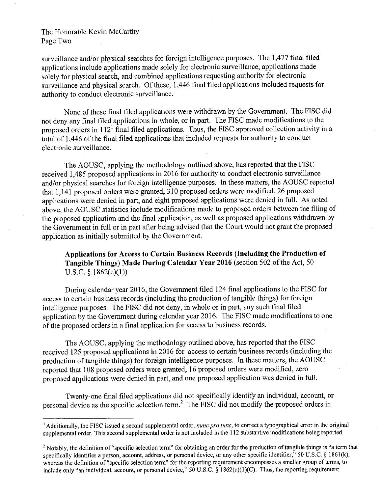## The Honorable Kevin McCarthy Page Two

surveillance and/or physical searches for foreign intelligence purposes. The 1,477 final filed applications include applications made solely for electronic surveillance, applications made solely for physical search, and combined applications requesting authority for electronic surveillance and physical search. Of these, 1,446 final filed applications included requests for authority to conduct electronic surveillance.

None of these final filed applications were withdrawn by the Government. The FISC did not deny any final filed applications in whole, or in part. The FISC made modifications to the proposed orders in  $112<sup>1</sup>$  final filed applications. Thus, the FISC approved collection activity in a total of 1,446 of the final filed applications that included requests for authority to conduct electronic surveillance.

The AOUSC, applying the methodology outlined above, has reported that the FISC received 1,485 proposed applications in 2016 for authority to conduct electronic surveillance and/or physical searches for foreign intelligence purposes. In these matters, the AOUSC reported that 1,141 proposed orders were granted, 310 proposed orders were modified, 26 proposed applications were denied in part, and eight proposed applications were denied in full. As noted above, the AOUSC statistics include modifications made to proposed orders between the filing of the proposed application and the final application, as well as proposed applications withdrawn by the Government in full or in part after being advised that the Court would not grant the proposed application as initially submitted by the Govermnent.

**Applications for Access to Certain Business Records (Including the Production of Tangible Things) Made During Calendar Year 2016** (section 502 of the Act, 50 U.S.C.  $§$  1862(c)(1))

During calendar year 2016, the Government filed 124 final applications to the FISC for access to certain business records (including the production of tangible things) for foreign intelligence purposes. The FISC did not deny, in whole or in part, any such final filed application by the Government during calendar year 2016. The FISC made modifications to one of the proposed orders in a final application for **access** to business records.

The AOUSC, applying the methodology outlined above, has reported that the FISC received 125 proposed applications in 2016 for **access** to certain business records (including the production of tangible things) for foreign intelligence purposes. In these matters, the AOUSC reported that 108 proposed orders were granted, 16 proposed orders were modified, zero proposed applications were denied in part, and one proposed application was denied in full.

Twenty-one final filed applications did not specifically identify an individual, account, or personal device as the specific selection term.2 The **FISC** did not modify the proposed orders in

<sup>&</sup>lt;sup>1</sup> Additionally, the FISC issued a second supplemental order, *nunc pro tunc*, to correct a typographical error in the original supplemental order. This second supplemental order is not included in the 112 substantive modifications being reported.

<sup>2</sup>Notably, the definition of "specific selection **term" for** obtaining an **order** for the production of tangible things is "a term that specifically identifies a person, account, address, or personal device, or any other specific identifier," 50 U.S.C. § 1861(k), whereas the definition of "specific selection **term"** for the reporting requirement encompasses a smaller group of terms, to include only "an individual, account, or personal device," **50** U.S.C. § 1862(c)(l)(C). Thus, the reporting requirement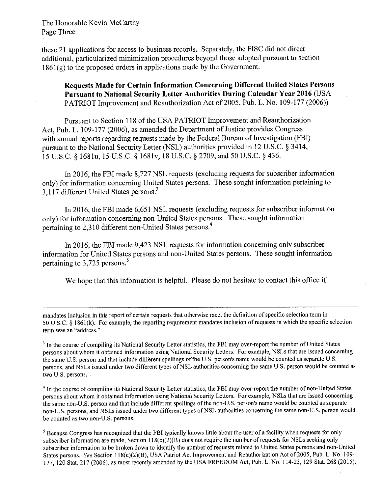The Honorable Kevin McCarthy Page Three

these 21 applications for access to business records. Separately, the FISC did not direct additional, particularized minimization procedures beyond those adopted pursuant to section  $1861<sub>(g)</sub>$  to the proposed orders in applications made by the Government.

**Requests Made for Certain Information Concerning Different United States Persons Pursuant to National Security Letter Authorities During Calendar Year 2016** (USA PATRIOT Improvement and Reauthorization Act of 2005, Pub. L. No. 109~l77 (2006))

Pursuant to Section 118 of **the** USA **PATRIOT** Improvement and Reauthorization Act, Pub. L. 109-177 (2006), as amended the Department of Justice provides Congress with annual reports regarding requests made by the Federal Bureau of Investigation (FBI) pursuant to the National Security Letter (NSL) authorities provided in 12 U.S.C. § 3414, 15 U.S.C. § 1681u, 15 U.S.C. § l68lv, 18 U.S.C. § 2709, and 50 U.S.C. § 436.

In 2016, the FBI made 8,727 NSL requests (excluding requests for subscriber information only) for information concerning United States persons. These sought information pertaining to 3.117 different United States persons.<sup>3</sup>

In 2016, the FBI made 6,651 NSL requests (excluding requests for subscriber information only) for information concerning non-United States persons. These sought information pertaining to 2,310 different non-United States persons.<sup>4</sup>

In 2016, the FBI made 9,423 NSL requests for information concerning only subscriber information for United States persons and non-United States persons. These sought information pertaining to 3,725 persons.<sup>5</sup>

We hope that this information is helpful. Please do not hesitate to contact this office if

mandates inclusion in this report of certain requests that otherwise meet the definition of specific selection term in 50 U.S.C. § l86l(k). For example, the reporting requirement mandates inclusion of requests in which the specific selection term was an "address."

<sup>3</sup> In the course of compiling its National Security Letter statistics, the FBI may over-report the number of United States persons about whom it obtained information using National Security Letters. For example, NSLs that are issued concerning the same U.S. person and that include different spellings of the U.S. person's name would be counted as separate U.S. persons, and NSLs issued under two different types of NSL authorities concerning the same U.S. person would be counted as two U.S. persons.

4 In the course of compiling its National Security Letter statistics, **the** FBI may over-report the number of non-United States persons about whom it obtained information using National Security Letters. For example, NSLs that are issued concerning the same non-U.S. person and that include different spellings **of the** non-U.S. person's name would be counted as separate non-U.S. persons, and NSLs issued under two different types of NSL authorities concerning the same non-U.S. person would be counted as two non-U.S. persons.

<sup>5</sup>Because Congress has recognized that the **FBI** typically knows **little** about the user of a facility when requests for only subscriber information are made, Section l 18(c)(2)(B) **does** not require the number of requests for NSLs seeking only subscriber information to be broken down to identify the number of requests related to United States persons and non-United States persons. See Section l l8(c)(2)(B), USA Patriot **Act Improvement** and Reauthorization Act of2005, Pub. L. No. 109- 177, 120 Stat. 217 (2006), as most recently **amended** by the USA FREEDOM Act, Pub. L. No. 1 14-23, 129 Stat. 268 (2015).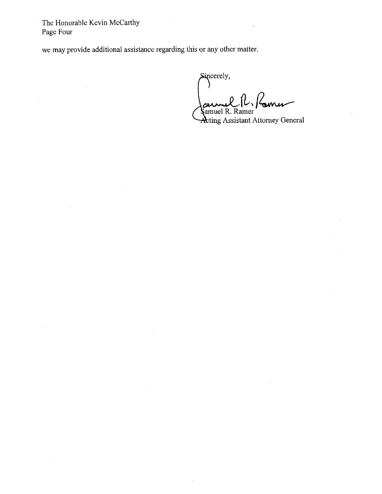The Honorable Kevin McCarthy Page Four

we may provide additional assistance regarding this or any other matter.

Sincerely,  $c$ eunel  $|l_1|$  former amuel R

Acting Assistant Attorney General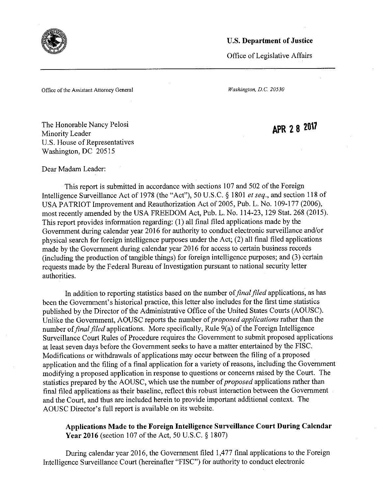

Office of Legisl *alive* Affairs

Office of the Assistant Attorney General *Washington, D.C. 20530* 

The Honorable Nancy Pelosi Minority Leader U.S. House of Representatives Washington, DC 20515

Dear Madam Leader:

APR 2 8 2017

This report is submitted in accordance with sections 107 and 502 of the Foreign Intelligence Surveillance Act of 1978 (the "Act"), 50 U.S.C. § 1801 et seq., and section 118 of USA PATRIOT Improvement and Reauthorization Act of 2005, Pub. L. No. 109-177 (2006), most recently amended by the USA FREEDOM Act, Pub. L. No. 114-23, 129 Stat. 268 (2015). This report provides information regarding: (1) all final filed applications made by the Government during calendar year 2016 for authority to conduct electronic surveillance and/or physical search for foreign intelligence purposes under the Act; (2) all final filed applications made by the Government during calendar year 2016 for access to certain business records (including the production of tangible things) for foreign intelligence purposes, and (3) certain requests made by the Federal Bureau of Investigation pursuant to national security letter authorities.

In addition to reporting statistics based on the number of *final filed* applications, as has been the Government's historical practice, this letter also includes for the first time statistics published by the Director of the Administrative Office of the United States Courts (AOUSC). Unlike the Government, AOUSC reports the number *of proposed applications* rather than the number of *final filed* applications. More specifically, Rule 9(a) of the Foreign Intelligence Surveillance Court Rules of Procedure requires the Government to submit proposed applications at least seven days before the Government seeks to have a matter entertained by the FISC . Modifications or withdrawals of applications may occur between the filing of a proposed application and the filing of a final application for a variety of reasons, including the Government modifying a proposed application in response to questions or concerns raised by the Court. The statistics prepared by the AOUSC, which use the number *of proposed* applications rather than final filed applications as their baseline, reflect this robust interaction between the Government and the Court, and thus are included herein to provide important additional context. The AOUSC Director's full report is available on its website.

**Applications Made to the Foreign Intelligence Surveillance Court During Calendar Year 2016** (section 107 of the Act, 50 **U,S.C.** § 1807)

During calendar year 2016, the Government filed 1,477 final applications to the Foreign Intelligence Surveillance Court (hereinafter "FISC") for authority to conduct electronic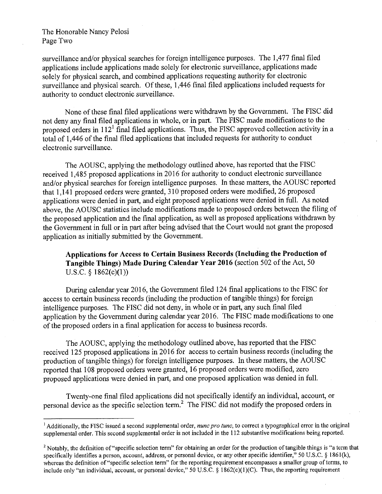## The Honorable Nancy Pelosi Page Two

surveillance and/or physical searches for foreign intelligence purposes. The 1,477 final filed applications include applications made solely for electronic surveillance, applications made solely for physical search, and combined applications requesting authority for electronic surveillance and physical search. Of these, 1,446 final filed applications included requests for authority to conduct electronic surveillance.

None of these final filed applications were withdrawn by the Government. The FISC did not deny any final filed applications in whole, or in part. The FISC made modifications to the proposed orders in  $112<sup>1</sup>$  final filed applications. Thus, the FISC approved collection activity in a total of 1,446 of the final filed applications that included requests for authority to conduct electronic surveillance.

The AOUSC, applying the methodology outlined above, has reported that the FISC received 1,485 proposed applications in 2016 for authority to conduct electronic surveillance and/or physical searches for foreign intelligence purposes. In these matters, the AOUSC reported that 1,141 proposed orders were granted, 310 proposed orders were modified, 26 proposed applications were denied in part, and eight proposed applications were denied in full. As noted above, the AOUSC statistics include modifications made to proposed orders between the filing of the proposed application and the final application, as well as proposed applications withdrawn by the Government in full or in part after being advised that the Court would not grant the proposed application as initially submitted by the Government.

**Applications for Access to Certain Business Records (Including the Production of Tangible Things) Made During Calendar Year 2016** (section 502 of the Act, 50 U.S.C. § 1862(c)(1))

During calendar year 2016, the Government filed 124 final applications to the FISC for access to certain business records (including the production of tangible things) for foreign intelligence purposes. The FISC did not deny, in whole or in part, any such final filed application by the Government during calendar year 2016. The FISC made modifications to one of the proposed orders in a final application for access to business records.

The AOUSC, applying the methodology outlined above, has reported that the FISC received 125 proposed applications in 2016 for **access** to certain business records (including the production of tangible things) for foreign intelligence purposes. In these matters, the AOUSC reported that 108 proposed orders were granted, 16 proposed orders were modified, zero proposed applications were denied in part, and one proposed application was denied in full.

Twenty-one final filed applications did not specifically identify an individual, account, or personal device as the specific selection term.<sup>2</sup> The FISC did not modify the proposed orders in

<sup>&</sup>lt;sup>1</sup> Additionally, the FISC issued a second supplemental order, *nunc pro tunc*, to correct a typographical error in the original supplemental order. This second supplemental order is not included in the 112 substantive modifications being reported.

<sup>&</sup>lt;sup>2</sup> Notably, the definition of "specific selection term" for obtaining an order for the production of tangible things is "a term that specifically identifies a person, account, address, **or** personal device, or any other specific identifier," 50 U.S.C. § l86l(k), whereas the definition of "specific selection term" for the reporting requirement encompasses a smaller group of terms, to include only "an individual, account, or personal device," 50 U.S.C. § 1862(c)(1)(C). Thus, the reporting requirement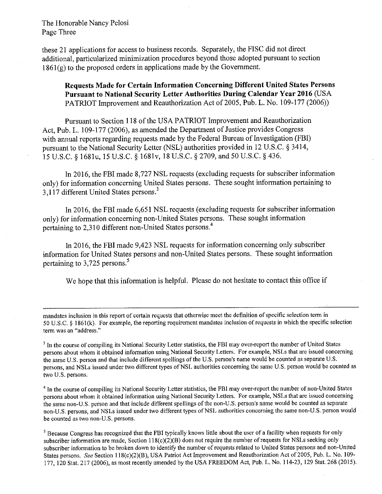The Honorable Nancy Pelosi Page Three

these 21 applications for access to business records. Separately, the FISC did not direct additional, particularized minimization procedures beyond those adopted pursuant to section  $1861(g)$  to the proposed orders in applications made by the Government.

**Requests Made for Certain Information Concerning Different United States Persons Pursuant to National Security Letter Authorities During Calendar Year 2016** (USA PATRIOT Improvement and Reauthorization Act of 2005, Pub. L. No. 109-177 (2006))

Pursuant to Section 118 of the USA PATRIOT Improvement and Reauthorization Act, Pub. L. 109-177 (2006), as amended the Department of Justice provides Congress with annual reports regarding requests made by the Federal Bureau of Investigation (FBI) pursuant to the National Security Letter (NSL) authorities provided in 12 U.S.C. § 3414, 15 U.S.C. § l68lu, 15 U.S.C. § l68lv, 18 U.S.C. § 2709, and 50 U.S.C. § 436.

In 2016, the FBI made 8,727 NSL requests (excluding requests for subscriber information only) for information concerning United States persons. These sought information pertaining to 3,117 different United States persons.<sup>3</sup>

In 2016, the FBI made 6,651 NSL requests (excluding requests for subscriber information only) for information concerning non~United States persons. These sought information pertaining to 2,310 different non-United States persons.4

In 2016, the FBI made 9,423 NSL requests for information concerning only subscriber information for United States persons and non-United States persons. These sought information pertaining to 3,725 persons.<sup>5</sup>

We hope that this information is helpful. Please do not hesitate to contact this office if

mandates inclusion in this report of certain requests that otherwise meet the definition of specific selection term in 50 U.S.C. § l86l(k). For example, the reporting requirement mandates inclusion of requests in which the specific selection term was an "address."

 $3$  In the course of compiling its National Security Letter statistics, the FBI may over-report the number of United States persons about whom it obtained information using National Security Letters. For example, NSLs that are issued concerning the same U.S. person and that include different spellings of the U.S. person's name would be counted as separate U.S. persons, and NSLs issued under two different types of NSL authorities concerning the same U.S. person would be counted as two U.S. persons.

<sup>4</sup> In the course of compiling its National Security Letter statistics, the FBI may over-report the number of non-United States persons about whom it obtained information using National Security Letters. For example, NSLs that are issued concerning the same non-U.S. person and that include different spellings of the non-U.S. person's name would be counted as separate non-U.S. persons, and NSLs issued under two different types of NSL authorities concerning the same non-U.S. person would be counted as two non-U.S. persons.

<sup>5</sup> Because Congress has recognized that the FBI typically knows little about the user of a facility when requests for only subscriber information are made, Section l 18(c)(2)(B) **does** not require the number of requests for NSLs seeking only subscriber information to be broken down to identify the number of requests related to United States persons and non~United States persons. See Section 118(c)(2)(B), USA Patriot Act Improvement and Reauthorization Act of 2005, Pub. L. No. 109-177, 120 Stat, 217 (2006), as most recently amended by the USA FREEDOM Act, Pub. L. No. 114-23, 129 Stat. 268 (2015).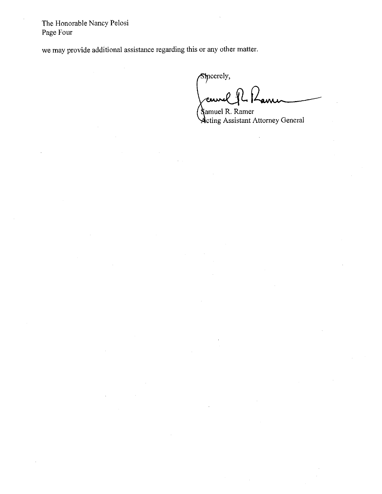The Honorable Nancy Pelosi Page Four

we may provide additional assistance regarding this or any other matter.

Sincerely,

cum . . . **all d¢lf l** 

Samuel R. Ramer Acting Assistant Attorney General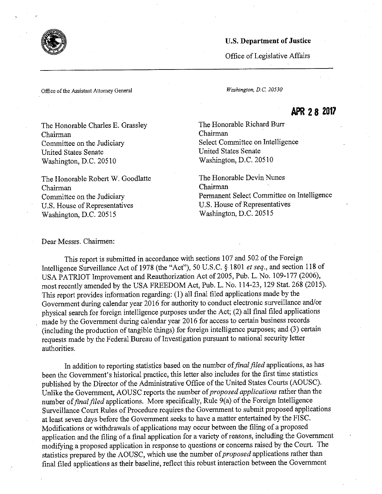Office of Legislative Affairs

Office of the Assistant Attorney General *Washington,* D.C'. 20530

# APR 28 2017

The Honorable Charles E. Grassley Chairman Committee on the Judiciary United States Senate Washington, D.C. 20510

The Honorable Robert W. Goodlatte Chairman Committee on the Judiciary U.S. House of Representatives Washington, D.C. 20515

The Honorable Richard Burr Chairman , Select Committee on Intelligence United States Senate Washington, D.C. 20510

The Honorable Devin Nunes Chairman ` Permanent Select Committee on Intelligence U.S. House of Representatives Washington, D.C. 20515

Dear Messrs. Chairmen:

This report is submitted in accordance with sections 107 and 502 of the Foreign Intelligence SUrveillance Act of 1978 (the "Act"), 50 U.S.C. § 1801 *et seq.,* and section 118 of USA PATRIOT Improvement and Reauthorization Act of 2005, Pub. L. No. 109»177 (2006), most recently amended by the USA FREEDOM Act, Pub. L. No. l14-23, 129 Stat. 268 (2015). This report provides information regarding: (1) all final filed applications made by the Government during calendar year 2016 for authority to conduct electronic surveillance and/or physical search for foreign intelligence purposes under the Act; (2) all final filed applications made by the Government during calendar year 2016 for access to certain business records (including the production of tangible things) for foreign intelligence purposes; and (3) certain requests made by the Federal Bureau of Investigation pursuant to national security letter authorities.

In addition to reporting statistics based on the number of *final filed* applications, as has been the Government's historical practice, this letter also includes for the first time statistics published by the Director of the Administrative Office of the United States Courts (AOUSC). Unlike the Government, AOUSC reports the number of *proposed applications* rather than the number of *final filed* applications. More specifically, Rule 9(a) of the Foreign Intelligence Surveillance Court Rules of Procedure requires the Government to submit proposed applications at least seven days before the Government seeks to have a matter entertained by the FISC. Modifications or withdrawals of applications may occur between the filing of a proposed application and the filing of a final application for a variety of reasons, including the Government modifying a proposed application in response to questions or concerns raised by the Court. The statistics prepared by the AOUSC, which use the number of *proposed* applications rather than final filed applications as their baseline, reflect this robust interaction between the Government



\*J 4"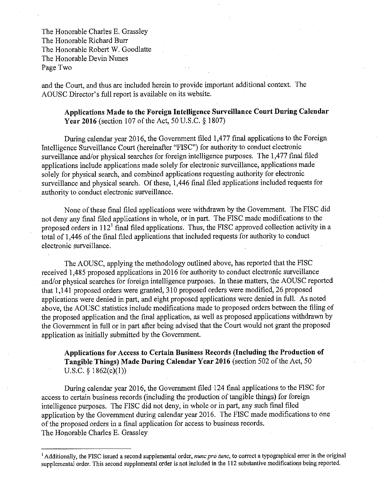The Honorable Charles E. Grassley The Honorable Richard Burr The Honorable Robert W. Goodlatte The Honorable Devin Nunes Page Two

and the Court, and thus are included herein to provide important additional context. The AOUSC Director's full report is available on its website.

**Applications Made to the Foreign Intelligence Surveillance Court During Calendar Year 2016** (section 107 of the Act, 50 U.S.C. § 1807)

During calendar year 2016, the Government filed 1,477 final applications to the Foreign Intelligence Surveillance Court (hereinafter "FISC") for authority to conduct electronic surveillance and/or physical searches for foreign intelligence purposes. The 1,477 final filed applications include applications made solely for electronic surveillance, applications made solely for physical search, and combined applications requesting authority for electronic surveillance and physical search. Of these, 1,446 final filed applications included requests for authority to conduct electronic surveillance.

None of these final filed applications were withdrawn by the Government. The FISC did not deny any final filed applications in whole, or in part. The FISC made modifications to the proposed orders in  $112<sup>1</sup>$  final filed applications. Thus, the FISC approved collection activity in a total of 1,446 of the final filed applications that included requests for authority to conduct electronic surveillance.

The AOUSC, applying the methodology outlined above, has reported that the FISC received 1,485 proposed applications in 2016 for authority to conduct electronic surveillance and/or physical searches for foreign intelligence purposes. In these matters, the AOUSC reported that 1,141 proposed orders were granted, 310 proposed orders were modified, 26 proposed applications were denied in part, and eight proposed applications were denied in full. As noted above, the AOUSC statistics include modifications made to proposed orders between the filing of the proposed application and the final application, as well as proposed applications withdrawn by the Government in full or in part after being advised that the Court would not grant the proposed application as initially submitted by the Government.

**Applications for Access to Certain Business Records (Including the Production of Tangible Things) Made During Calendar Year 2016** (section 502 of the Act, 50 U.S.C.  $§ 1862(c)(1))$ 

During calendar year 2016, the Government filed 124 final applications to the FISC for access to certain business records (including the production of tangible things) for foreign intelligence purposes. The FISC did not deny, in whole or in part, any such final filed application by the Government during calendar year 2016. The FISC made modifications to one of the proposed orders in a final application for access to business records. , The Honorable Charles E. Grassley

<sup>&</sup>lt;sup>1</sup> Additionally, the FISC issued a second supplemental order, *nunc pro tunc*, to correct a typographical error in the original supplemental order. This second supplemental order is not included in the 112 substantive modifications being reported.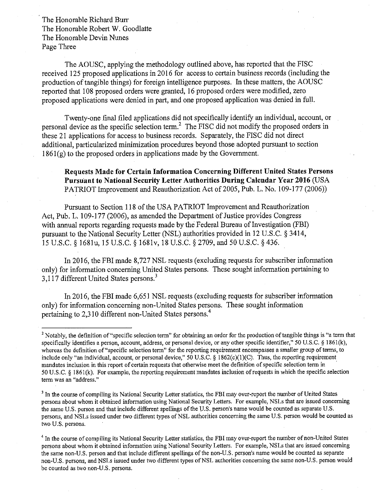The Honorable Richard Burr The Honorable Robert W. Goodlatte The Honorable Devin Nunes Page Three

The AOUSC, applying the methodology outlined above, has reported that the FISC received 125 proposed applications in 2016 for access to certain business records (including the production of tangible things) for foreign intelligence purposes. In these matters, the AOUSC reported that 108 proposed orders were granted, 16 proposed orders were modified, zero proposed applications were denied in part, and one proposed application was denied in full.

Twenty-one final filed applications did not specifically identify an individual, account, or personal device as the specific selection term.2 The FISC did not modify the proposed orders in these 21 applications for access to business records. Separately, the FISC did not direct additional, particularized minimization procedures beyond those adopted pursuant to section  $1861(g)$  to the proposed orders in applications made by the Government.

# **Requests Made for Certain Information Concerning Different United States Persons PursUant to National Security Letter Authorities During Calendar** Year **2016** (USA PATRIOT Improvement and Reauthorization Act of 2005, Pub. L, No. 109-177 (2006))

Pursuant to Section 118 of the USA PATRIOT Improvement and Reauthorization Act, Pub. L. 109-177 (2006), as amended the Department of Justice provides Congress with annual reports regarding requests made by the Federal Bureau of Investigation (FBI) pursuant to the National Security Letter (NSL) authorities provided in 12 U.S.C. § 3414, 15 U.S.C. § 1681u, 15 U.S.C. § 168lv, 18 U.S.C. § 2709, and 50 U,S.C. §436.

In 2016, the FBI made 8,727 NSL requests (excluding requests for subscriber information only) for information concerning United States persons. These sought information pertaining to 3,117 different United States persons.<sup>3</sup>

In 2016, the FBI Made 6,651 NSL requests (excluding requests for Subscriber information only) for information concerning non-United States persons. These sought information pertaining to 2,310 different non-United States persons.<sup>4</sup>

<sup>&</sup>lt;sup>2</sup> Notably, the definition of "specific selection term" for obtaining an order for the production of tangible things is "a term that specifically identifies a person, account, address, **or** personal device, or any other specific identifier," 50 U.S.C. § l861(k), whereas the definition of "specific selection **term"** for the reporting requirement encompasses a smaller group of terms, to include only "an individual, account, or personal device," 50 U.S.C.  $\S$  1862(c)(1)(C). Thus, the reporting requirement mand ates inclusion in this report of certain requests **that** otherwise meet the definition of specific selection term in . 50 U.S.C. § 1861(k). For example, the reporting requirement mandates inclusion of requests in which the specific selection term was an "address."

<sup>&</sup>lt;sup>3</sup> In the course of compiling its National Security Letter statistics, the FBI may over-report the number of United States persons about whom it obtained information using National Security Letters. For example, NSLs that are issued concerning the same U.S. person and that include different spellings of the U.S. person's name would be counted as separate U.S. persons, and NSLs issued under two different types of NSL authorities concerning the same U.S. person would be counted as two U.S. persons.

<sup>&</sup>lt;sup>4</sup> In the course of compiling its National Security Letter statistics, the FBI may over-report the number of non-United States persons about whom it obtained information using National Security Letters. For example, NSLs that are issued concerning the same non-U.S. person and that include different spellings of the non-U.S. person's name would be counted as separate non-U.S. persons, and NSLs issued under two different types of NSL authorities concerning the same non-U.S. person would be counted as two non~U.S. persons.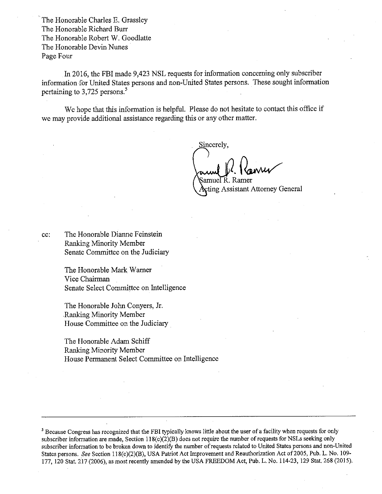The Honorable Charles E. Grassley The Honorable Richard Burr The Honorable Robert W. Goodlatte The Honorable Devin Nunes Page Four

In 2016, the FBI made 9,423 NSL requests for information concerning only subscriber information for United States persons and non-United States persons. These sought information pertaining to 3,725 persons.<sup>5</sup>

We hope that this information is helpful. Please do not hesitate to contact this office if we may provide additional assistance regarding this or any other matter.

Sincerely.

**»»** 

amuel R. Ramer ting Assistant Attorney General

cc: The Honorable Dianne Feinstein Ranking Minority Member Senate Committee on the Judiciary

> The Honorable Mark Warner Vice Chairman . Senate Select Committee on Intelligence

The Honorable John Conyers, Jr. Ranking Minority Member House Committee on the Judiciary

The Honorable Adam Schiff Ranking Minority Member House Permanent Select Committee on Intelligence

<sup>5</sup>Because Congress has recognized that the **FBI** typically knows little **about** the user of a facility when requests for only subscriber information are made, Section 1 l8(c)(2)(B) does **not** require **the** number of requests for NSLs seeking only subscriber information to be broken down to identify **the number** of requests related to United States persons and non-United States persons. *.See* Section 118(c)(2)(B), USA Patriot **Act** Improvement and Reauthorization Act of 2005, Pub. L. No. **109- 177,** 120 Stat. 217 (2006), as most recently amended by the USA FREEDOM Act, **Pub. L. No.** 114-23, **129 Stat. 268** (2015).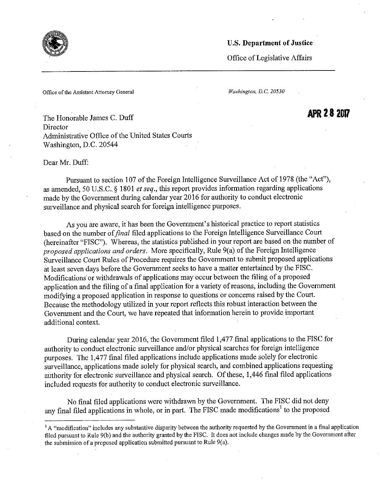

Office of Legislative Affairs

APR 28 2017

Office of the Assistant Attorney General *Washington,* D.C. 20530

The Honorable James C. Duff Director Administrative Office of the United States Courts Washington, D.C. 20544

Dear Mr. Duff:

Pursuant to section 107 of the Foreign Intelligence Surveillance Act of 1978 (the "Act"), as amended, 50 U.S.C. § 1801 *et seq.*, this report provides information regarding applications made by the Government during calendar year 2016 for authority to conduct electronic surveillance and physical search for foreign intelligence purposes .

As you are aware, it has been the Government's historical practice to report statistics based on the number *offal* filed applications to the Foreign Intelligence Surveillance Court (hereinafter "FISC"). Whereas, the statistics published in your report are based on the number of *proposed applications and orders.* More specifically, Rule 9(a) of the Foreign Intelligence Surveillance Court Rules of Procedure requires the Govermnent to submit proposed applications at least seven days before the Government seeks to have a matter entertained by the FISC . Modifications or withdrawals of applications may occur between the filing of a proposed application and the filing of a' final application for a variety of reasons, including the Government modifying a proposed application in response to questions or concerns raised by the Court. Because the methodology utilized in your report reflects this robust interaction between the Government and the Court, we have repeated that information herein to provide important additional context.

During calendar year 2016, the Government filed 1,477 final applications to the FISC for authority to conduct electronic surveillance and/or physical searches for foreign intelligence purposes. The 1,477 final filed applications include applications made solely for electronic surveillance, applications made solely for physical search, and combined applications requesting authority for electronic surveillance and physical search. Of these, 1,446 final filed applications included requests for authority to conduct electronic surveillance.

No final filed applications were withdrawn by the Government. The FISC did not deny any final filed applications in whole, or in part. The FISC made modifications<sup>1</sup> to the proposed

<sup>&</sup>lt;sup>1</sup> A "modification" includes any substantive disparity between the authority requested by the Government in a final application filed pursuant to Rule 9(b) and the authority granted **by the** FISC. It does not include changes made by the Government after the submission of a proposed application submitted pursuant to Rule 9(a).